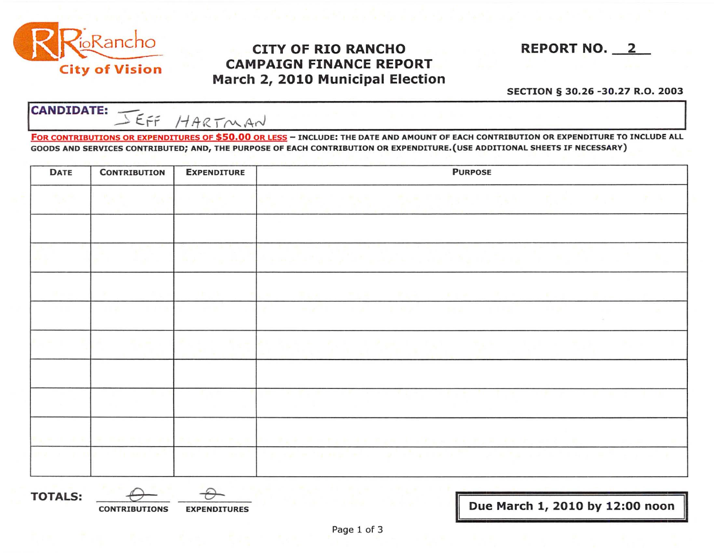

## CITY OF RIO RANCHO REPORT NO. 2 CAMPAIGN FINANCE REPORT March 2, 2010 Municipal Election



## SECTION § 30.26 -30.27 R.O. 2003

**CANDIDATE:** JEFF HARTMAN

 $\overline{\phantom{a}}$ FOR CONTRIBUTIONS OR EXPENDITURES OF \$50.00 OR LESS - INCLUDE: THE DATE AND AMOUNT OF EACH CONTRIBUTION OR EXPENDITURE TO INCLUDE ALL GOODS AND SERVICES CONTRIBUTED; AND, THE PURPOSE OF EACH CONTRIBUTION OR EXPENDITURE.(USE ADDITIONAL SHEETS IF NECESSARY)

| <b>DATE</b> | <b>CONTRIBUTION</b>              | <b>EXPENDITURE</b>                             | <b>PURPOSE</b>                                                                                                 |  |  |
|-------------|----------------------------------|------------------------------------------------|----------------------------------------------------------------------------------------------------------------|--|--|
|             | <b>Contract State</b>            | <b>Contract Contract Contract</b>              | 计可分数 经不可分配证券 医二甲氧基 的复数复数 医生物学医生的 医骨盆 医心包 计通信字 医三角的 医心                                                          |  |  |
|             |                                  | <b>Service</b>                                 |                                                                                                                |  |  |
|             |                                  |                                                | <b>March 2010 - March 2010</b><br>the property and the<br>$-100$<br>1960                                       |  |  |
|             | and the<br>$\sim$ 100 $^{\circ}$ | <b>CONTRACTOR</b>                              | <b>Facture 1990 and 1990 and 1990</b><br>an an                                                                 |  |  |
|             |                                  |                                                |                                                                                                                |  |  |
|             | a state of the con-              | the sales of the<br><b>Service Controllers</b> | The Contract Charles College Contract Con-                                                                     |  |  |
|             |                                  |                                                | di ali sua condita della condita con la condita di la condita di condita di la condita di la condita di la con |  |  |

TOTALS: *-e* ~ CONTRIBUTIONS EXPENDITURES II Due March 1, 2010 by 12:00 noo;-II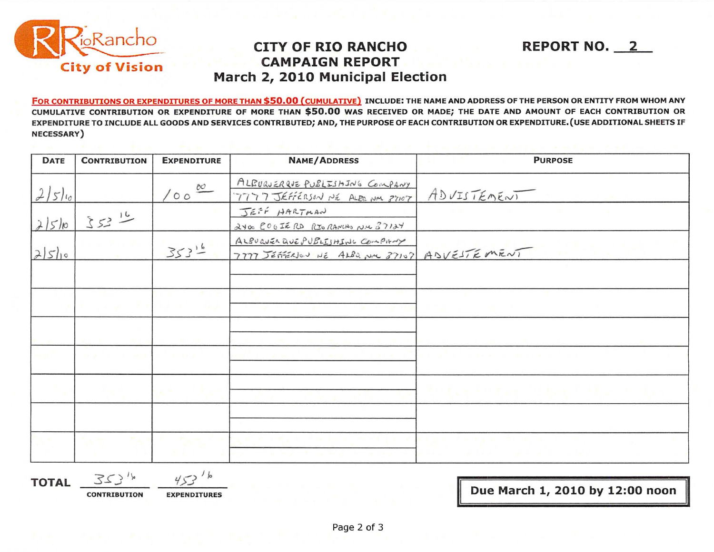

## **CITY OF RIO RANCHO CAMPAIGN REPORT** March 2, 2010 Municipal Election

FOR CONTRIBUTIONS OR EXPENDITURES OF MORE THAN \$50.00 (CUMULATIVE) INCLUDE: THE NAME AND ADDRESS OF THE PERSON OR ENTITY FROM WHOM ANY CUMULATIVE CONTRIBUTION OR EXPENDITURE OF MORE THAN \$50.00 WAS RECEIVED OR MADE; THE DATE AND AMOUNT OF EACH CONTRIBUTION OR EXPENDITURE TO INCLUDE ALL GOODS AND SERVICES CONTRIBUTED; AND, THE PURPOSE OF EACH CONTRIBUTION OR EXPENDITURE. (USE ADDITIONAL SHEETS IF **NECESSARY**)

| <b>DATE</b> | <b>CONTRIBUTION</b> | <b>EXPENDITURE</b> | <b>NAME/ADDRESS</b>                                                             | <b>PURPOSE</b>                                                |
|-------------|---------------------|--------------------|---------------------------------------------------------------------------------|---------------------------------------------------------------|
| 2/5/10      |                     | 1000               | ALBUQUERQUE PUBLISHING COMPANY<br>7777 JEFFERSON NE ALBO NM 37107               | ADVISTEMEWI                                                   |
| 21510       | $253^{16}$          |                    | JEFF HARTMAN<br>2400 COOIERD RIORANCHO NIC 37124                                |                                                               |
| 2510        |                     | $353^{16}$         | ALBUQUER QUE PUBLISHING COMPANY<br>7777 JEFFERION NE ALBO NIL 37107 ADVESTEMENT |                                                               |
|             |                     |                    |                                                                                 |                                                               |
|             |                     |                    |                                                                                 |                                                               |
|             |                     |                    |                                                                                 |                                                               |
|             | <b>EL 20</b>        | <b>CONTRACTOR</b>  |                                                                                 |                                                               |
|             |                     |                    |                                                                                 | the first of the control of the first state of the control of |
|             |                     |                    |                                                                                 |                                                               |
|             |                     |                    |                                                                                 |                                                               |

**TOTAL** 

 $3534$ 

**CONTRIBUTION** 

**EXPENDITURES** 

 $\frac{1}{6}$ 

Due March 1, 2010 by 12:00 noon

**REPORT NO. 2**